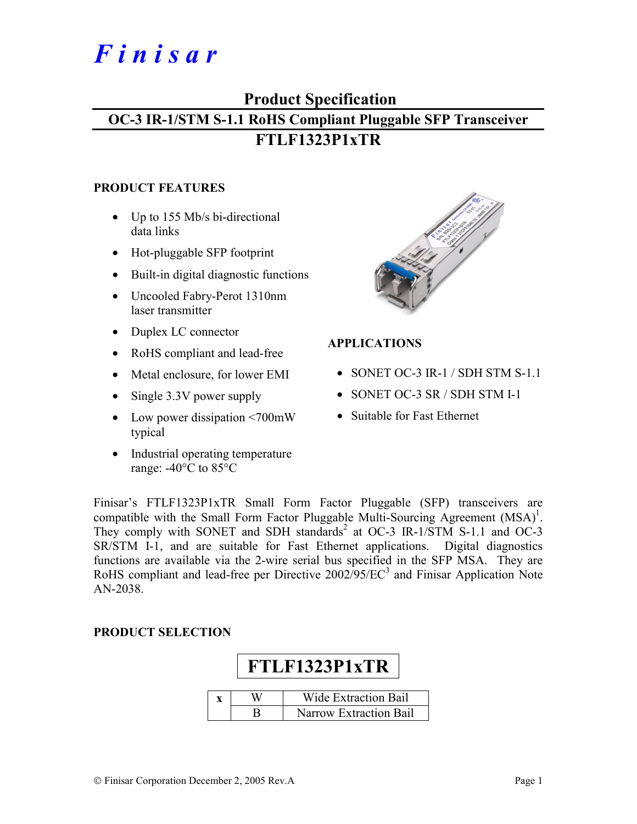# *F i n i s a r*

# **Product Specification OC-3 IR-1/STM S-1.1 RoHS Compliant Pluggable SFP Transceiver**

# **FTLF1323P1xTR**

#### **PRODUCT FEATURES**

- Up to 155 Mb/s bi-directional data links
- Hot-pluggable SFP footprint
- Built-in digital diagnostic functions
- Uncooled Fabry-Perot 1310nm laser transmitter
- Duplex LC connector
- RoHS compliant and lead-free
- Metal enclosure, for lower EMI
- Single 3.3V power supply
- Low power dissipation <700mW typical
- Industrial operating temperature range: -40°C to 85°C



# **APPLICATIONS**

- SONET OC-3 IR-1 / SDH STM S-1.1
- SONET OC-3 SR / SDH STM I-1
- Suitable for Fast Ethernet

Finisar's FTLF1323P1xTR Small Form Factor Pluggable (SFP) transceivers are compatible with the Small Form Factor Pluggable Multi-Sourcing Agreement  $(MSA)^1$ . They comply with SONET and SDH standards<sup>2</sup> at OC-3 IR-1/STM S-1.1 and OC-3 SR/STM I-1, and are suitable for Fast Ethernet applications. Digital diagnostics functions are available via the 2-wire serial bus specified in the SFP MSA. They are RoHS compliant and lead-free per Directive  $2002/95/EC^3$  and Finisar Application Note AN-2038.

## **PRODUCT SELECTION**

| FTLF1323P1xTR               |                               |  |  |  |  |  |  |  |
|-----------------------------|-------------------------------|--|--|--|--|--|--|--|
| <b>Wide Extraction Bail</b> |                               |  |  |  |  |  |  |  |
|                             | <b>Narrow Extraction Bail</b> |  |  |  |  |  |  |  |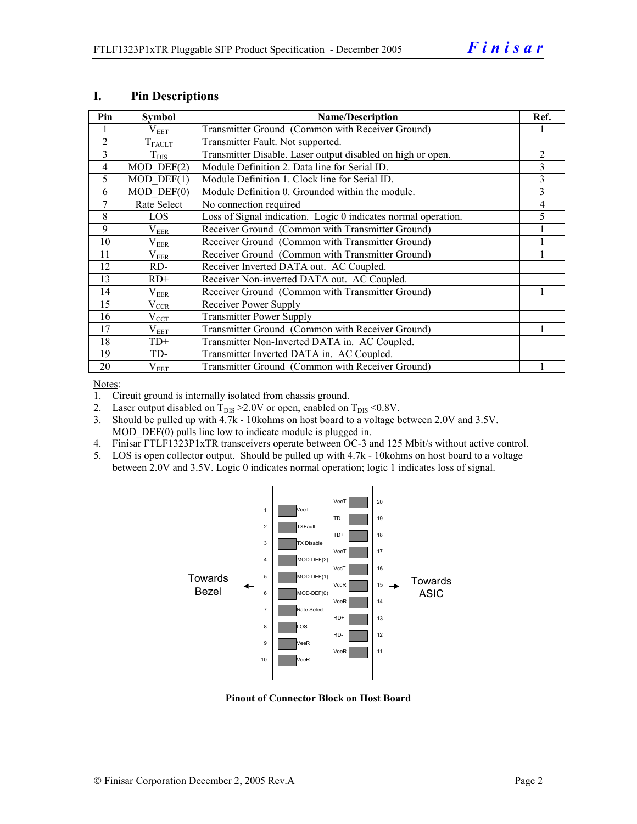| Pin            | <b>Symbol</b>         | <b>Name/Description</b>                                        |   |  |  |
|----------------|-----------------------|----------------------------------------------------------------|---|--|--|
|                | $\rm V_{EET}$         | Transmitter Ground (Common with Receiver Ground)               |   |  |  |
| 2              | $T_{FALLT}$           | Transmitter Fault. Not supported.                              |   |  |  |
| $\mathcal{E}$  | $T_{\rm DIS}$         | Transmitter Disable. Laser output disabled on high or open.    | 2 |  |  |
| $\overline{4}$ | $MOD$ $DEF(2)$        | Module Definition 2. Data line for Serial ID.                  | 3 |  |  |
| 5              | $MOD$ DEF $(1)$       | Module Definition 1. Clock line for Serial ID.                 | 3 |  |  |
| 6              | $MOD$ $DEF(0)$        | Module Definition 0. Grounded within the module.               | 3 |  |  |
| 7              | Rate Select           | No connection required                                         | 4 |  |  |
| 8              | <b>LOS</b>            | Loss of Signal indication. Logic 0 indicates normal operation. | 5 |  |  |
| $\mathbf Q$    | $\rm V_{EER}$         | Receiver Ground (Common with Transmitter Ground)               |   |  |  |
| 10             | $\rm V_{EER}$         | Receiver Ground (Common with Transmitter Ground)               |   |  |  |
| 11             | $\rm V_{EER}$         | Receiver Ground (Common with Transmitter Ground)               |   |  |  |
| 12             | RD-                   | Receiver Inverted DATA out. AC Coupled.                        |   |  |  |
| 13             | $RD+$                 | Receiver Non-inverted DATA out. AC Coupled.                    |   |  |  |
| 14             | $\rm V_{EER}$         | Receiver Ground (Common with Transmitter Ground)               |   |  |  |
| 15             | $V_{\underline{CCR}}$ | Receiver Power Supply                                          |   |  |  |
| 16             | $V_{CCT}$             | <b>Transmitter Power Supply</b>                                |   |  |  |
| 17             | $\rm V_{EET}$         | Transmitter Ground (Common with Receiver Ground)               |   |  |  |
| 18             | $TD+$                 | Transmitter Non-Inverted DATA in. AC Coupled.                  |   |  |  |
| 19             | TD-                   | Transmitter Inverted DATA in. AC Coupled.                      |   |  |  |
| 20             | $V_{EET}$             | Transmitter Ground (Common with Receiver Ground)               |   |  |  |

#### **I. Pin Descriptions**

Notes:

1. Circuit ground is internally isolated from chassis ground.

- 2. Laser output disabled on  $T_{DIS} > 2.0V$  or open, enabled on  $T_{DIS} < 0.8V$ .
- 3. Should be pulled up with 4.7k 10kohms on host board to a voltage between 2.0V and 3.5V. MOD  $DEF(0)$  pulls line low to indicate module is plugged in.
- 4. Finisar FTLF1323P1xTR transceivers operate between OC-3 and 125 Mbit/s without active control.
- 5. LOS is open collector output. Should be pulled up with 4.7k 10kohms on host board to a voltage between 2.0V and 3.5V. Logic 0 indicates normal operation; logic 1 indicates loss of signal.



**Pinout of Connector Block on Host Board**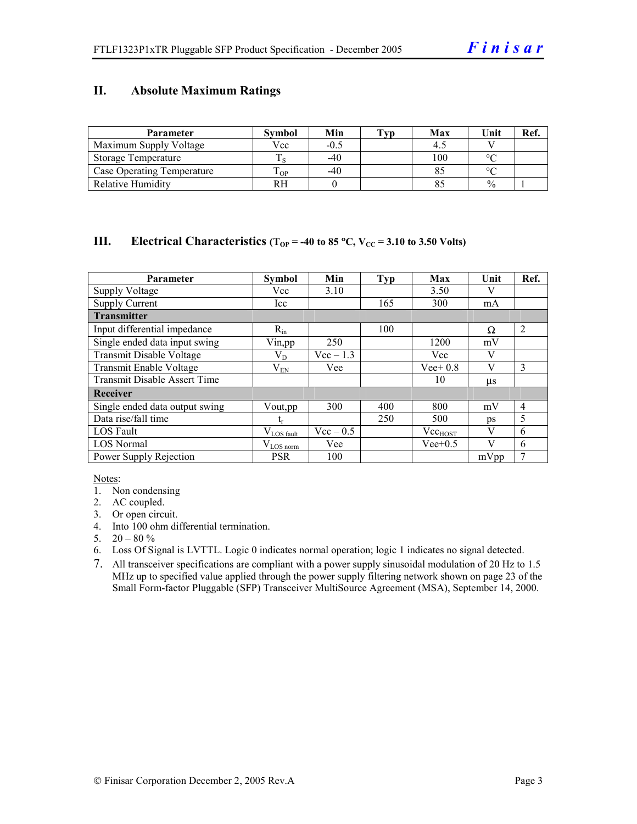### **II. Absolute Maximum Ratings**

| <b>Parameter</b>                  | <b>Symbol</b> | Min    | Tvp | Max | Unit          | Ref. |
|-----------------------------------|---------------|--------|-----|-----|---------------|------|
| Maximum Supply Voltage            | Vcc           | $-0.5$ |     |     |               |      |
| Storage Temperature               |               | $-40$  |     | 100 | $\circ$       |      |
| <b>Case Operating Temperature</b> | m<br>OP.      | $-40$  |     |     | $\sim$        |      |
| <b>Relative Humidity</b>          | RH            |        |     |     | $\frac{0}{0}$ |      |

#### **III.** Electrical Characteristics ( $T_{OP}$  = -40 to 85 °C,  $V_{CC}$  = 3.10 to 3.50 Volts)

| <b>Parameter</b>                    | <b>Symbol</b>          | Min         | <b>Typ</b> | Max          | Unit    | Ref.           |
|-------------------------------------|------------------------|-------------|------------|--------------|---------|----------------|
| <b>Supply Voltage</b>               | Vcc                    | 3.10        |            | 3.50         |         |                |
| <b>Supply Current</b>               | Icc                    |             | 165        | 300          | mA      |                |
| <b>Transmitter</b>                  |                        |             |            |              |         |                |
| Input differential impedance        | $R_{in}$               |             | 100        |              | Ω       | $\overline{2}$ |
| Single ended data input swing       | Vin, pp                | 250         |            | 1200         | mV      |                |
| Transmit Disable Voltage            | $\rm V_{D}$            | $Vec-1.3$   |            | Vcc          | V       |                |
| Transmit Enable Voltage             | $\rm V_{EN}$           | Vee         |            | $Vee+0.8$    | V       | 3              |
| <b>Transmit Disable Assert Time</b> |                        |             |            | 10           | $\mu$ s |                |
| Receiver                            |                        |             |            |              |         |                |
| Single ended data output swing      | Vout, pp               | 300         | 400        | 800          | mV      | $\overline{4}$ |
| Data rise/fall time                 | $\mathrm{t_{r}}$       |             | 250        | 500          | ps      | 5              |
| <b>LOS</b> Fault                    | $V_{\text{LOS}}$ fault | $Vec - 0.5$ |            | $Vec_{HOST}$ | V       | 6              |
| <b>LOS Normal</b>                   | $V_{LOS\,norm}$        | Vee         |            | $Vee+0.5$    | V       | 6              |
| Power Supply Rejection              | <b>PSR</b>             | 100         |            |              | mVpp    | 7              |

Notes:

- 1. Non condensing
- 2. AC coupled.
- 3. Or open circuit.
- 4. Into 100 ohm differential termination.
- 5.  $20 80 \%$
- 6. Loss Of Signal is LVTTL. Logic 0 indicates normal operation; logic 1 indicates no signal detected.
- 7. All transceiver specifications are compliant with a power supply sinusoidal modulation of 20 Hz to 1.5 MHz up to specified value applied through the power supply filtering network shown on page 23 of the Small Form-factor Pluggable (SFP) Transceiver MultiSource Agreement (MSA), September 14, 2000.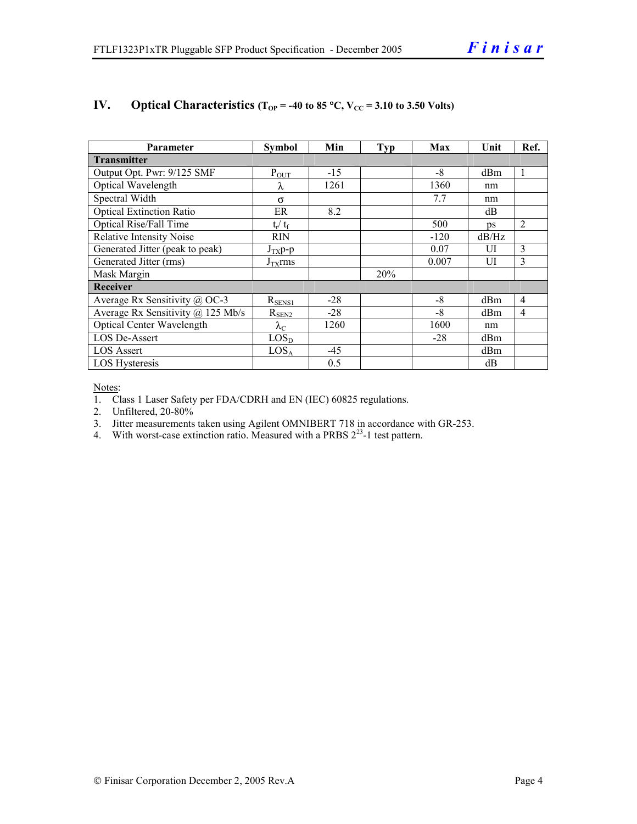| Parameter                             | <b>Symbol</b>     | Min   | <b>Typ</b> | Max    | Unit  | Ref.           |  |
|---------------------------------------|-------------------|-------|------------|--------|-------|----------------|--|
| <b>Transmitter</b>                    |                   |       |            |        |       |                |  |
| Output Opt. Pwr: 9/125 SMF            | $P_{OUT}$         | $-15$ |            | $-8$   | dBm   | 1              |  |
| Optical Wavelength                    | λ                 | 1261  |            | 1360   | nm    |                |  |
| Spectral Width                        | $\sigma$          |       |            | 7.7    | nm    |                |  |
| <b>Optical Extinction Ratio</b>       | ER                | 8.2   |            |        | dB    |                |  |
| Optical Rise/Fall Time                | $t_r / t_f$       |       |            | 500    | ps    | $\overline{2}$ |  |
| <b>Relative Intensity Noise</b>       | <b>RIN</b>        |       |            | $-120$ | dB/Hz |                |  |
| Generated Jitter (peak to peak)       | $J_{TX}p-p$       |       |            | 0.07   | UI    | 3              |  |
| Generated Jitter (rms)                | $J_{TX}$ rms      |       |            | 0.007  | UI    | 3              |  |
| Mask Margin                           |                   |       | 20%        |        |       |                |  |
| <b>Receiver</b>                       |                   |       |            |        |       |                |  |
| Average Rx Sensitivity @ OC-3         | $R_{SENS1}$       | $-28$ |            | $-8$   | dBm   | 4              |  |
| Average Rx Sensitivity $(a)$ 125 Mb/s | $R_{SEN2}$        | $-28$ |            | $-8$   | dBm   | 4              |  |
| Optical Center Wavelength             | $\lambda_{\rm C}$ | 1260  |            | 1600   | nm    |                |  |
| <b>LOS De-Assert</b>                  | LOS <sub>D</sub>  |       |            | $-28$  | dBm   |                |  |
| LOS Assert                            | LOS <sub>A</sub>  | -45   |            |        | dBm   |                |  |
| LOS Hysteresis                        |                   | 0.5   |            |        | dB    |                |  |

# **IV.** Optical Characteristics ( $T_{OP}$  = -40 to 85 °C,  $V_{CC}$  = 3.10 to 3.50 Volts)

Notes:

1. Class 1 Laser Safety per FDA/CDRH and EN (IEC) 60825 regulations.

2. Unfiltered, 20-80%

3. Jitter measurements taken using Agilent OMNIBERT 718 in accordance with GR-253.

4. With worst-case extinction ratio. Measured with a PRBS  $2^{23}$ -1 test pattern.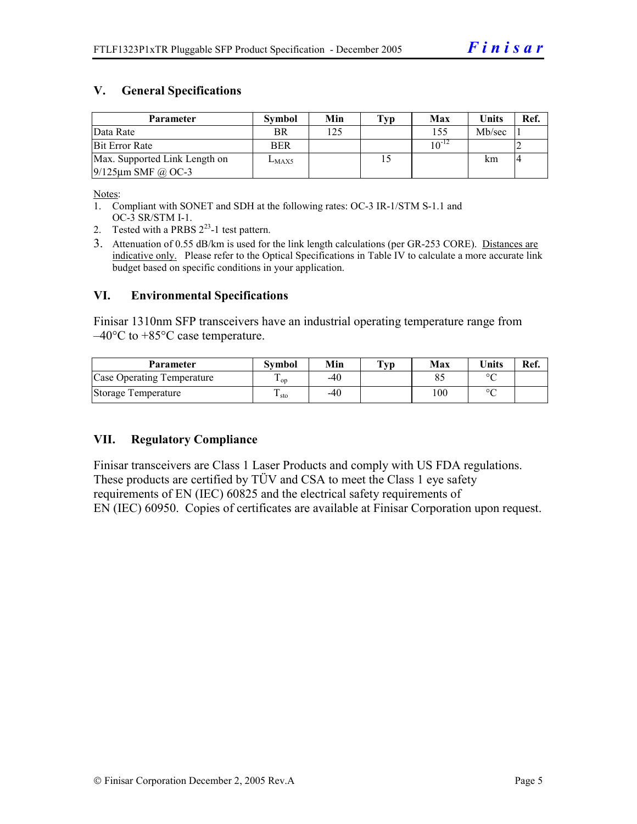# **V. General Specifications**

| Parameter                     | <b>Symbol</b> | Min | Typ | Max        | <b>Units</b> | Ref. |
|-------------------------------|---------------|-----|-----|------------|--------------|------|
| Data Rate                     | <b>BR</b>     | 125 |     | 155        | Mb/sec       |      |
| <b>Bit Error Rate</b>         | <b>BER</b>    |     |     | $10^{-12}$ |              |      |
| Max. Supported Link Length on | $L_{MAX5}$    |     |     |            | km           |      |
| $9/125 \mu m$ SMF @ OC-3      |               |     |     |            |              |      |

Notes:

- 1. Compliant with SONET and SDH at the following rates: OC-3 IR-1/STM S-1.1 and OC-3 SR/STM I-1.
- 2. Tested with a PRBS  $2^{23}$ -1 test pattern.
- 3. Attenuation of 0.55 dB/km is used for the link length calculations (per GR-253 CORE). Distances are indicative only. Please refer to the Optical Specifications in Table IV to calculate a more accurate link budget based on specific conditions in your application.

#### **VI. Environmental Specifications**

Finisar 1310nm SFP transceivers have an industrial operating temperature range from  $-40^{\circ}$ C to  $+85^{\circ}$ C case temperature.

| <b>Parameter</b>           | Svmbol | Min | $\mathbf{T}_{\mathbf{V}\mathbf{p}}$ | Max | <b>Units</b> | Ref. |
|----------------------------|--------|-----|-------------------------------------|-----|--------------|------|
| Case Operating Temperature | L OD   | -40 |                                     |     | $\sim$       |      |
| Storage Temperature        | sto    | -40 |                                     | 100 | $\sim$       |      |

#### **VII. Regulatory Compliance**

Finisar transceivers are Class 1 Laser Products and comply with US FDA regulations. These products are certified by TÜV and CSA to meet the Class 1 eye safety requirements of EN (IEC) 60825 and the electrical safety requirements of EN (IEC) 60950. Copies of certificates are available at Finisar Corporation upon request.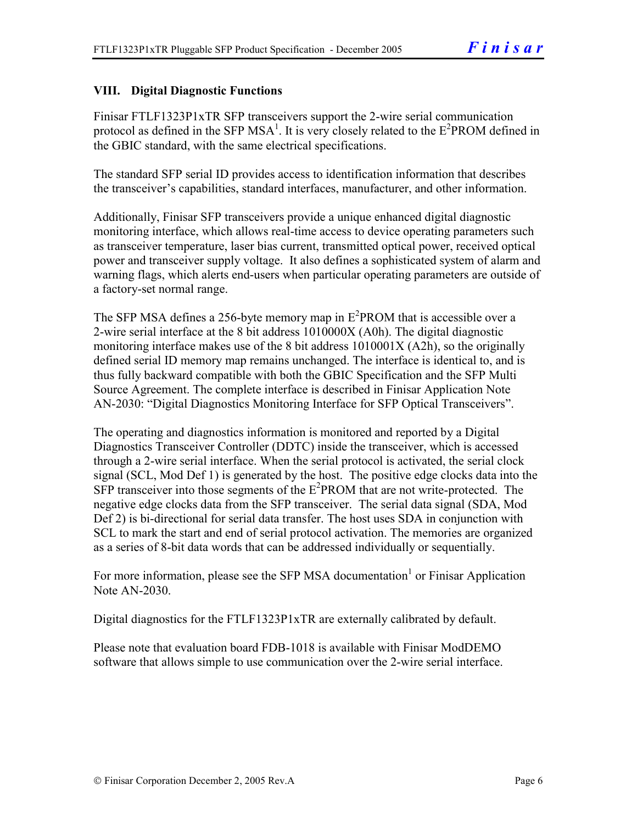# **VIII. Digital Diagnostic Functions**

Finisar FTLF1323P1xTR SFP transceivers support the 2-wire serial communication protocol as defined in the SFP MSA<sup>1</sup>. It is very closely related to the  $E^2$ PROM defined in the GBIC standard, with the same electrical specifications.

The standard SFP serial ID provides access to identification information that describes the transceiver's capabilities, standard interfaces, manufacturer, and other information.

Additionally, Finisar SFP transceivers provide a unique enhanced digital diagnostic monitoring interface, which allows real-time access to device operating parameters such as transceiver temperature, laser bias current, transmitted optical power, received optical power and transceiver supply voltage. It also defines a sophisticated system of alarm and warning flags, which alerts end-users when particular operating parameters are outside of a factory-set normal range.

The SFP MSA defines a 256-byte memory map in  $E^2$ PROM that is accessible over a 2-wire serial interface at the 8 bit address 1010000X (A0h). The digital diagnostic monitoring interface makes use of the 8 bit address 1010001X (A2h), so the originally defined serial ID memory map remains unchanged. The interface is identical to, and is thus fully backward compatible with both the GBIC Specification and the SFP Multi Source Agreement. The complete interface is described in Finisar Application Note AN-2030: "Digital Diagnostics Monitoring Interface for SFP Optical Transceivers".

The operating and diagnostics information is monitored and reported by a Digital Diagnostics Transceiver Controller (DDTC) inside the transceiver, which is accessed through a 2-wire serial interface. When the serial protocol is activated, the serial clock signal (SCL, Mod Def 1) is generated by the host. The positive edge clocks data into the  $SFP$  transceiver into those segments of the  $E^2$ PROM that are not write-protected. The negative edge clocks data from the SFP transceiver. The serial data signal (SDA, Mod Def 2) is bi-directional for serial data transfer. The host uses SDA in conjunction with SCL to mark the start and end of serial protocol activation. The memories are organized as a series of 8-bit data words that can be addressed individually or sequentially.

For more information, please see the SFP MSA documentation<sup>1</sup> or Finisar Application Note AN-2030.

Digital diagnostics for the FTLF1323P1xTR are externally calibrated by default.

Please note that evaluation board FDB-1018 is available with Finisar ModDEMO software that allows simple to use communication over the 2-wire serial interface.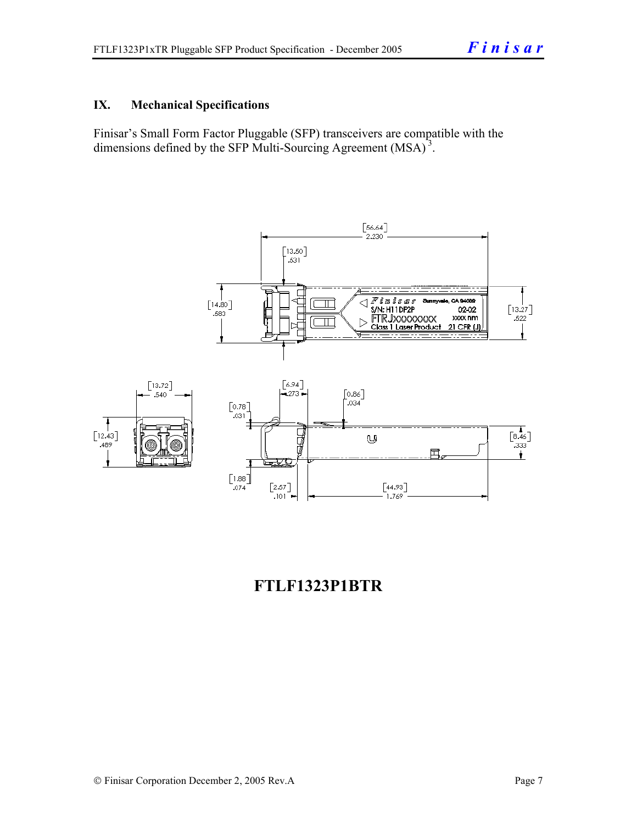# **IX. Mechanical Specifications**

Finisar's Small Form Factor Pluggable (SFP) transceivers are compatible with the dimensions defined by the SFP Multi-Sourcing Agreement (MSA)<sup>3</sup>.



# **FTLF1323P1BTR**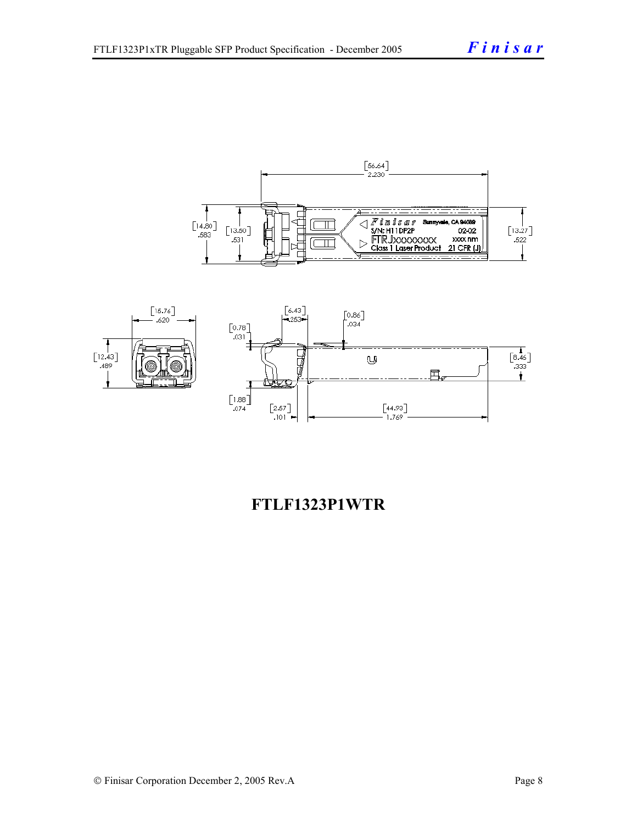



# **FTLF1323P1WTR**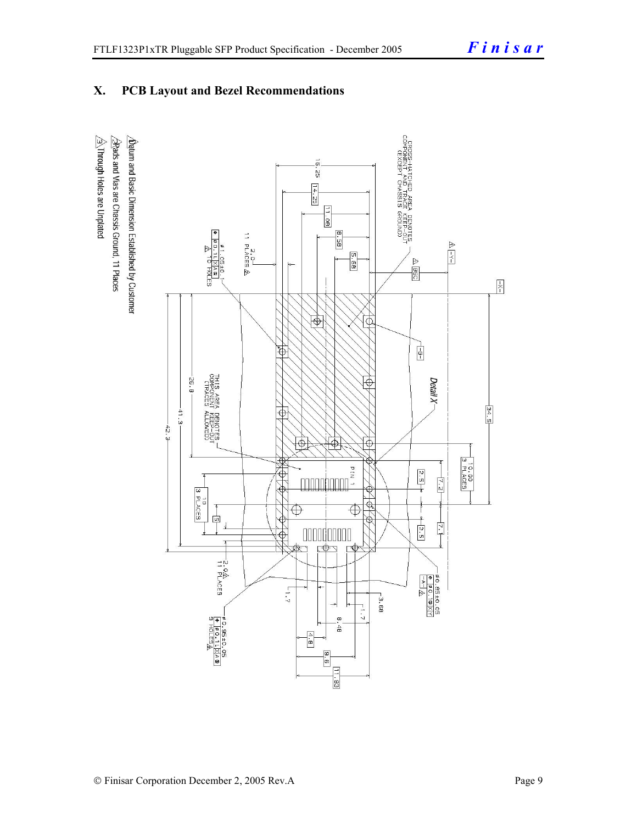# **X. PCB Layout and Bezel Recommendations**

 $\hat{\triangle}$ Through Holes are Unplated  $\Delta$ atum and Basic Dimension Established by Customer  $\triangle$ Rads and Vias are Chassis Ground, 11 Places

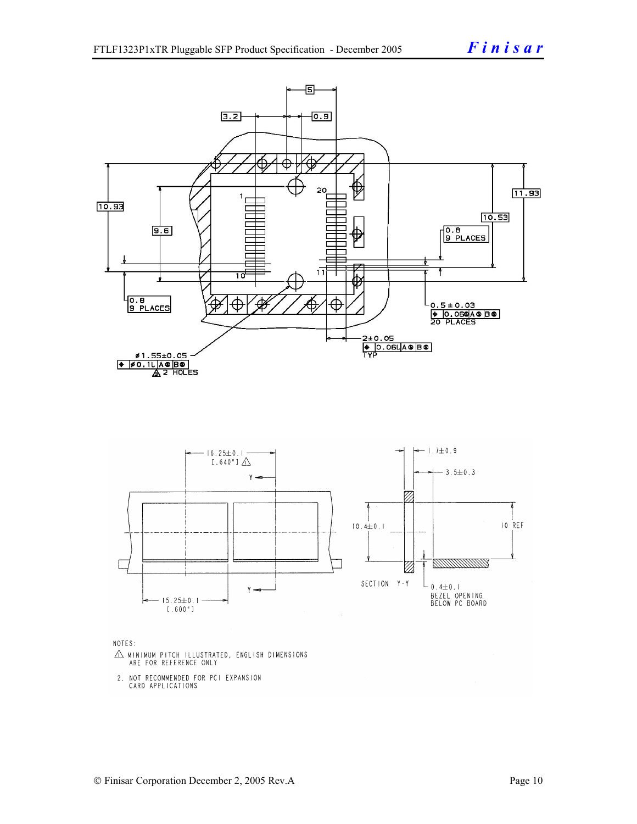

- $\triangle$  MINIMUM PITCH ILLUSTRATED, ENGLISH DIMENSIONS ARE FOR REFERENCE ONLY
- 2. NOT RECOMMENDED FOR PCI EXPANSION CARD APPLICATIONS